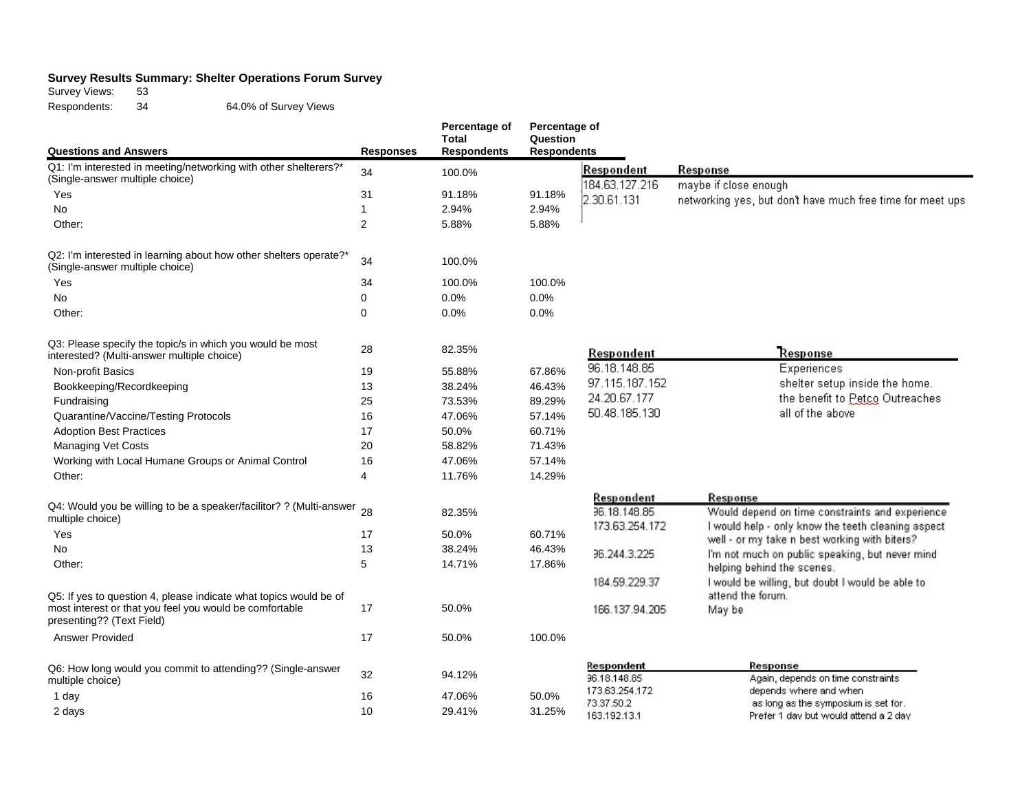## **Survey Results Summary: Shelter Operations Forum Survey**

Survey Views: 53

Respondents: 34 64.0% of Survey Views

|                                                                                                         |                  | Percentage of<br><b>Total</b> | Percentage of<br>Question |                              |                                                                                                       |  |
|---------------------------------------------------------------------------------------------------------|------------------|-------------------------------|---------------------------|------------------------------|-------------------------------------------------------------------------------------------------------|--|
| <b>Questions and Answers</b>                                                                            | <b>Responses</b> | <b>Respondents</b>            | <b>Respondents</b>        |                              |                                                                                                       |  |
| Q1: I'm interested in meeting/networking with other shelterers?*<br>(Single-answer multiple choice)     | 34               | 100.0%                        |                           | Respondent<br>184.63.127.216 | Response<br>maybe if close enough                                                                     |  |
| Yes                                                                                                     | 31               | 91.18%                        | 91.18%                    | 2.30.61.131                  | networking yes, but don't have much free time for meet ups                                            |  |
| <b>No</b>                                                                                               | $\overline{1}$   | 2.94%                         | 2.94%                     |                              |                                                                                                       |  |
| Other:                                                                                                  | $\overline{2}$   | 5.88%                         | 5.88%                     |                              |                                                                                                       |  |
| Q2: I'm interested in learning about how other shelters operate?*<br>(Single-answer multiple choice)    | 34               | 100.0%                        |                           |                              |                                                                                                       |  |
| Yes                                                                                                     | 34               | 100.0%                        | 100.0%                    |                              |                                                                                                       |  |
| No                                                                                                      | 0                | 0.0%                          | 0.0%                      |                              |                                                                                                       |  |
| Other:                                                                                                  | $\mathbf 0$      | 0.0%                          | 0.0%                      |                              |                                                                                                       |  |
| Q3: Please specify the topic/s in which you would be most<br>interested? (Multi-answer multiple choice) | 28               | 82.35%                        |                           | Respondent                   | Response                                                                                              |  |
| Non-profit Basics                                                                                       | 19               | 55.88%                        | 67.86%                    | 96.18.148.85                 | Experiences                                                                                           |  |
| Bookkeeping/Recordkeeping                                                                               | 13               | 38.24%                        | 46.43%                    | 97.115.187.152               | shelter setup inside the home.                                                                        |  |
| Fundraising                                                                                             | 25               | 73.53%                        | 89.29%                    | 24.20.67.177                 | the benefit to Petco Outreaches                                                                       |  |
| Quarantine/Vaccine/Testing Protocols                                                                    | 16               | 47.06%                        | 57.14%                    | 50.48.185.130                | all of the above                                                                                      |  |
| <b>Adoption Best Practices</b>                                                                          | 17               | 50.0%                         | 60.71%                    |                              |                                                                                                       |  |
| <b>Managing Vet Costs</b>                                                                               | 20               | 58.82%                        | 71.43%                    |                              |                                                                                                       |  |
| Working with Local Humane Groups or Animal Control                                                      | 16               | 47.06%                        | 57.14%                    |                              |                                                                                                       |  |
| Other:                                                                                                  | 4                | 11.76%                        | 14.29%                    |                              |                                                                                                       |  |
| Q4: Would you be willing to be a speaker/facilitor? ? (Multi-answer 28                                  |                  |                               |                           | Respondent<br>36.18.148.85   | Response                                                                                              |  |
| multiple choice)                                                                                        |                  | 82.35%                        |                           | 173.63.254.172               | Would depend on time constraints and experience<br>I would help - only know the teeth cleaning aspect |  |
| Yes                                                                                                     | 17               | 50.0%                         | 60.71%                    |                              | well - or my take n best working with biters?                                                         |  |
| No                                                                                                      | 13               | 38.24%                        | 46.43%                    | 36.244.3.225                 | I'm not much on public speaking, but never mind                                                       |  |
| Other:                                                                                                  | 5                | 14.71%                        | 17.86%                    |                              | helping behind the scenes.                                                                            |  |
| Q5: If yes to question 4, please indicate what topics would be of                                       |                  |                               |                           | 184.59.229.37                | I would be willing, but doubt I would be able to<br>attend the forum.                                 |  |
| most interest or that you feel you would be comfortable<br>presenting?? (Text Field)                    | 17               | 50.0%                         |                           | 166.137.94.205               | May be                                                                                                |  |
| <b>Answer Provided</b>                                                                                  | 17               | 50.0%                         | 100.0%                    |                              |                                                                                                       |  |
| Q6: How long would you commit to attending?? (Single-answer<br>multiple choice)                         | 32               | 94.12%                        |                           | Respondent<br>96.18.148.85   | Response<br>Again, depends on time constraints                                                        |  |
| 1 day                                                                                                   | 16               | 47.06%                        | 50.0%                     | 173.63.254.172               | depends where and when                                                                                |  |
| 2 days                                                                                                  | 10               | 29.41%                        | 31.25%                    | 73.37.50.2<br>163.192.13.1   | as long as the symposium is set for.<br>Prefer 1 day but would attend a 2 day                         |  |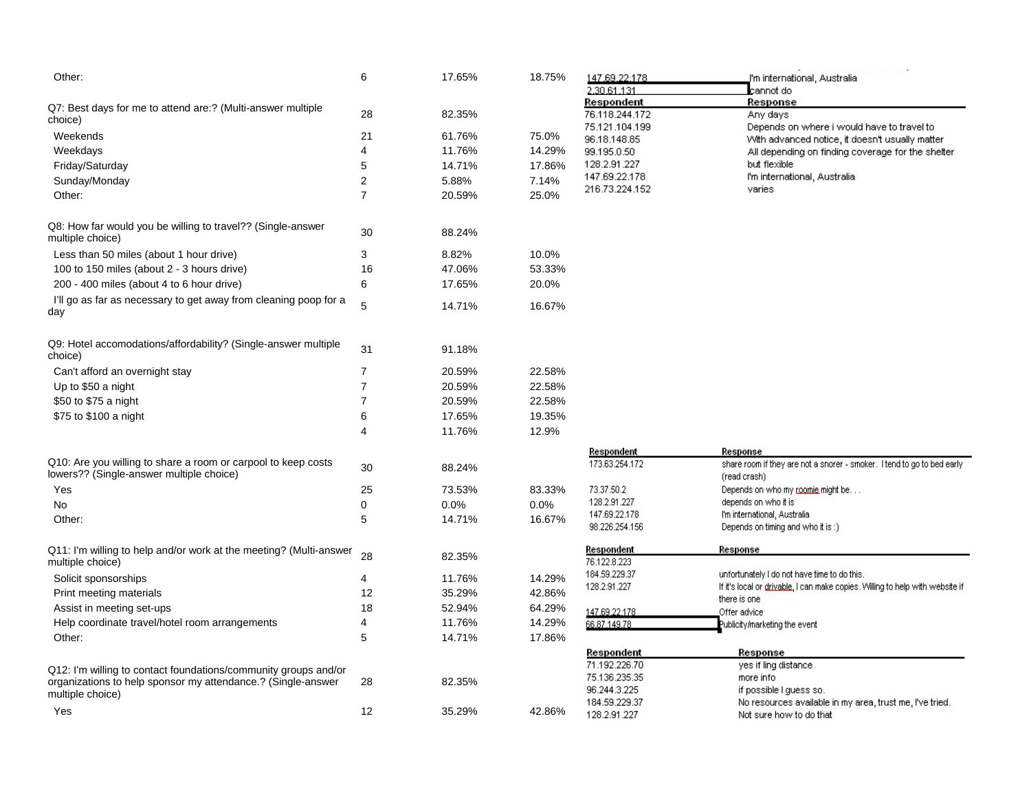| Other:                                                                                                                          | 6              | 17.65% | 18.75% | 147.69.22.178<br>2.30.61.131                                 | J'm international, Australia.<br>cannot do                                                    |
|---------------------------------------------------------------------------------------------------------------------------------|----------------|--------|--------|--------------------------------------------------------------|-----------------------------------------------------------------------------------------------|
| Q7: Best days for me to attend are:? (Multi-answer multiple<br>choice)                                                          | 28             | 82.35% |        | Respondent<br>76.118.244.172                                 | Response<br>Any days                                                                          |
| Weekends                                                                                                                        | 21             | 61.76% | 75.0%  | 75.121.104.199<br>96.18.148.85                               | Depends on where i would have to travel to<br>With advanced notice, it doesn't usually matter |
| Weekdays                                                                                                                        | 4              | 11.76% | 14.29% | 99.195.0.50                                                  | All depending on finding coverage for the shelter                                             |
| Friday/Saturday                                                                                                                 | 5              | 14.71% | 17.86% | 128.2.91.227                                                 | but flexible                                                                                  |
| Sunday/Monday                                                                                                                   | 2              | 5.88%  | 7.14%  | 147.69.22.178                                                | I'm international, Australia                                                                  |
| Other:                                                                                                                          | 7              | 20.59% | 25.0%  | 216.73.224.152                                               | varies                                                                                        |
| Q8: How far would you be willing to travel?? (Single-answer<br>multiple choice)                                                 | 30             | 88.24% |        |                                                              |                                                                                               |
| Less than 50 miles (about 1 hour drive)                                                                                         | 3              | 8.82%  | 10.0%  |                                                              |                                                                                               |
| 100 to 150 miles (about 2 - 3 hours drive)                                                                                      | 16             | 47.06% | 53.33% |                                                              |                                                                                               |
| 200 - 400 miles (about 4 to 6 hour drive)                                                                                       | 6              | 17.65% | 20.0%  |                                                              |                                                                                               |
| I'll go as far as necessary to get away from cleaning poop for a<br>day                                                         | 5              | 14.71% | 16.67% |                                                              |                                                                                               |
| Q9: Hotel accomodations/affordability? (Single-answer multiple<br>choice)                                                       | 31             | 91.18% |        |                                                              |                                                                                               |
| Can't afford an overnight stay                                                                                                  | $\overline{7}$ | 20.59% | 22.58% |                                                              |                                                                                               |
| Up to \$50 a night                                                                                                              | $\overline{7}$ | 20.59% | 22.58% |                                                              |                                                                                               |
| \$50 to \$75 a night                                                                                                            | $\overline{7}$ | 20.59% | 22.58% |                                                              |                                                                                               |
| \$75 to \$100 a night                                                                                                           | 6              | 17.65% | 19.35% |                                                              |                                                                                               |
|                                                                                                                                 | 4              | 11.76% | 12.9%  |                                                              |                                                                                               |
|                                                                                                                                 |                |        |        | Respondent                                                   | Response                                                                                      |
| Q10: Are you willing to share a room or carpool to keep costs<br>lowers?? (Single-answer multiple choice)                       | 30             | 88.24% |        | 173.63.254.172                                               | share room if they are not a snorer - smoker. I tend to go to bed early<br>(read crash)       |
| Yes                                                                                                                             | 25             | 73.53% | 83.33% | 73.37.50.2                                                   | Depends on who my roomie might be                                                             |
| No                                                                                                                              | 0              | 0.0%   | 0.0%   | 128.2.91.227                                                 | depends on who it is                                                                          |
| Other:                                                                                                                          | 5              | 14.71% | 16.67% | 147.69.22.178<br>98.226.254.156                              | I'm international, Australia<br>Depends on timing and who it is:)                             |
| Q11: I'm willing to help and/or work at the meeting? (Multi-answer<br>multiple choice)                                          | 28             | 82.35% |        | <u>Respondent</u><br>76.122.8.223                            | Response                                                                                      |
| Solicit sponsorships                                                                                                            | 4              | 11.76% | 14.29% | 184.59.229.37                                                | unfortunately I do not have time to do this.                                                  |
| Print meeting materials                                                                                                         | 12             | 35.29% | 42.86% | 128.2.91.227                                                 | If it's local or drivable, I can make copies. Willing to help with website if<br>there is one |
| Assist in meeting set-ups                                                                                                       | 18             | 52.94% | 64.29% | 147.69.22.178                                                | Offer advice                                                                                  |
| Help coordinate travel/hotel room arrangements                                                                                  | 4              | 11.76% | 14.29% | 66.87.149.78                                                 | ublicity/marketing the event?                                                                 |
| Other:                                                                                                                          | 5              | 14.71% | 17.86% |                                                              |                                                                                               |
| Q12: I'm willing to contact foundations/community groups and/or<br>organizations to help sponsor my attendance.? (Single-answer | 28             | 82.35% |        | Respondent<br>71.192.226.70<br>75.136.235.35<br>96.244.3.225 | Response<br>yes if ling distance<br>more info<br>if possible I guess so.                      |
| multiple choice)                                                                                                                |                |        |        | 184.59.229.37                                                | No resources available in my area, trust me, I've tried.                                      |
| Yes                                                                                                                             | 12             | 35.29% | 42.86% | 128.2.91.227                                                 | Not sure how to do that                                                                       |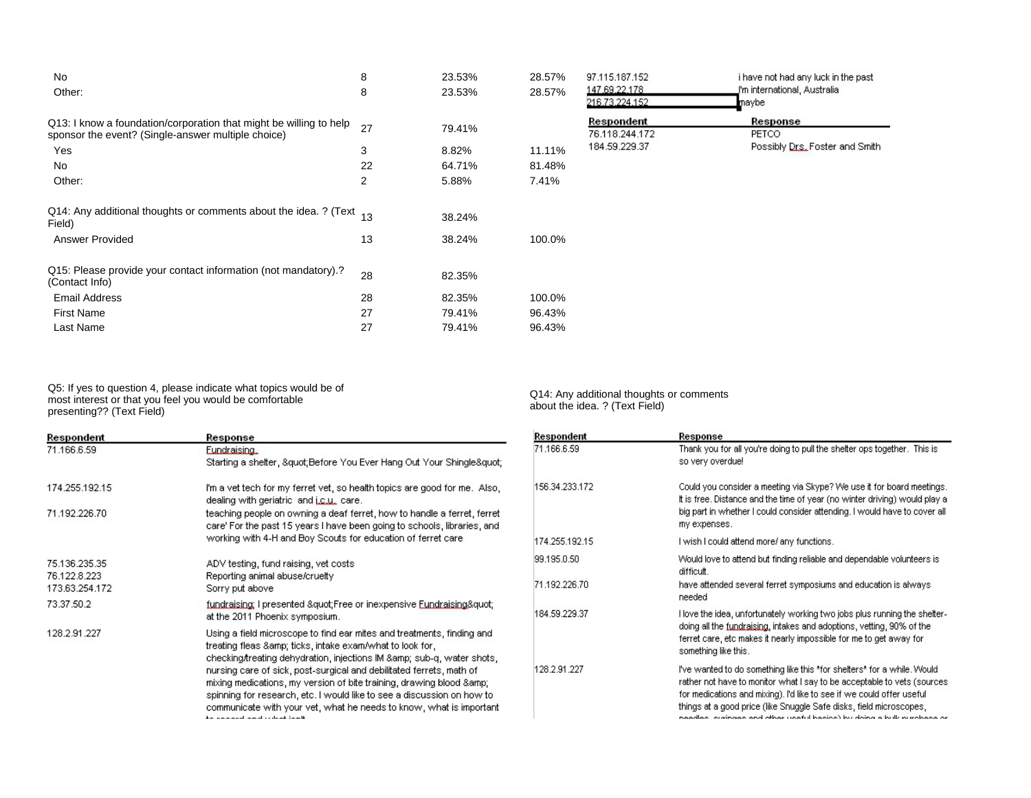| No<br>Other:                                                                                                             | 8<br>8 | 23.53%<br>23.53% | 28.57%<br>28.57% | 97.115.187.152<br>147.69.22.178<br>216.73.224.152 | i have not had any luck in the past<br>J'm international, Australia.<br>maybe |
|--------------------------------------------------------------------------------------------------------------------------|--------|------------------|------------------|---------------------------------------------------|-------------------------------------------------------------------------------|
| Q13: I know a foundation/corporation that might be willing to help<br>sponsor the event? (Single-answer multiple choice) | 27     | 79.41%           |                  | Respondent<br>76.118.244.172                      | Response<br>PETCO.                                                            |
| Yes                                                                                                                      | 3      | 8.82%            | 11.11%           | 184.59.229.37                                     | Possibly Drs. Foster and Smith                                                |
| No                                                                                                                       | 22     | 64.71%           | 81.48%           |                                                   |                                                                               |
| Other:                                                                                                                   | 2      | 5.88%            | 7.41%            |                                                   |                                                                               |
| Q14: Any additional thoughts or comments about the idea. ? (Text 13<br>Field)                                            |        | 38.24%           |                  |                                                   |                                                                               |
| <b>Answer Provided</b>                                                                                                   | 13     | 38.24%           | 100.0%           |                                                   |                                                                               |
| Q15: Please provide your contact information (not mandatory).?<br>(Contact Info)                                         | 28     | 82.35%           |                  |                                                   |                                                                               |
| Email Address                                                                                                            | 28     | 82.35%           | 100.0%           |                                                   |                                                                               |
| <b>First Name</b>                                                                                                        | 27     | 79.41%           | 96.43%           |                                                   |                                                                               |
| Last Name                                                                                                                | 27     | 79.41%           | 96.43%           |                                                   |                                                                               |

Q5: If yes to question 4, please indicate what topics would be of most interest or that you feel you would be comfortable presenting?? (Text Field)

| Respondent                                      | Response                                                                                                                                                                                                                                                                                                                                                                                                                                                                                                                                             |
|-------------------------------------------------|------------------------------------------------------------------------------------------------------------------------------------------------------------------------------------------------------------------------------------------------------------------------------------------------------------------------------------------------------------------------------------------------------------------------------------------------------------------------------------------------------------------------------------------------------|
| 71.166.6.59                                     | Fundraising,                                                                                                                                                                                                                                                                                                                                                                                                                                                                                                                                         |
|                                                 | Starting a shelter, " Before You Ever Hang Out Your Shingle"                                                                                                                                                                                                                                                                                                                                                                                                                                                                                         |
| 174.255.192.15                                  | I'm a vet tech for my ferret vet, so health topics are good for me. Also,<br>dealing with geriatric and <i>i.c.u.</i> care.                                                                                                                                                                                                                                                                                                                                                                                                                          |
| 71.192.226.70                                   | teaching people on owning a deaf ferret, how to handle a ferret, ferret<br>care' For the past 15 years I have been going to schools, libraries, and<br>working with 4-H and Boy Scouts for education of ferret care                                                                                                                                                                                                                                                                                                                                  |
| 75.136.235.35<br>76.122.8.223<br>173.63.254.172 | ADV testing, fund raising, vet costs<br>Reporting animal abuse/cruelty<br>Sorry put above                                                                                                                                                                                                                                                                                                                                                                                                                                                            |
| 73.37.50.2                                      | fundraising; I presented " Free or inexpensive Eundraising"<br>at the 2011 Phoenix symposium.                                                                                                                                                                                                                                                                                                                                                                                                                                                        |
| 128.2.91.227                                    | Using a field microscope to find ear mites and treatments, finding and<br>treating fleas & ticks, intake exam/what to look for,<br>checking/treating dehydration, injections IM & sub-q, water shots,<br>nursing care of sick, post-surgical and debilitated ferrets, math of<br>mixing medications, my version of bite training, drawing blood &<br>spinning for research, etc. I would like to see a discussion on how to<br>communicate with your vet, what he needs to know, what is important<br>بالمستنقذ والمتناد والمستند والمستحدث والمنافذ |

Q14: Any additional thoughts or comments about the idea. ? (Text Field)

| Respondent     | Response                                                                                                                                                                                                                                                                                                                                                                       |
|----------------|--------------------------------------------------------------------------------------------------------------------------------------------------------------------------------------------------------------------------------------------------------------------------------------------------------------------------------------------------------------------------------|
| 71.166.6.59    | Thank you for all you're doing to pull the shelter ops together. This is<br>so very overdue!                                                                                                                                                                                                                                                                                   |
| 156.34.233.172 | Could you consider a meeting via Skype? We use it for board meetings.<br>It is free. Distance and the time of year (no winter driving) would play a<br>big part in whether I could consider attending. I would have to cover all<br>my expenses.                                                                                                                               |
| 174.255.192.15 | I wish I could attend more/ any functions.                                                                                                                                                                                                                                                                                                                                     |
| 99.195.0.50    | Would love to attend but finding reliable and dependable volunteers is<br>difficult.                                                                                                                                                                                                                                                                                           |
| 71.192.226.70  | have attended several ferret symposiums and education is always<br>needed                                                                                                                                                                                                                                                                                                      |
| 184.59.229.37  | Hove the idea, unfortunately working two jobs plus running the shelter-<br>doing all the <u>fundraising</u> , intakes and adoptions, vetting, 90% of the<br>ferret care, etc makes it nearly impossible for me to get away for<br>something like this.                                                                                                                         |
| 128.2.91.227   | I've wanted to do something like this *for shelters* for a while. Would<br>rather not have to monitor what I say to be acceptable to vets (sources<br>for medications and mixing). I'd like to see if we could offer useful<br>things at a good price (like Snuggle Safe disks, field microscopes,<br>poodlaa isuuinaan ondistinaa useful kooina) ku doina o kullu sushoon osi |